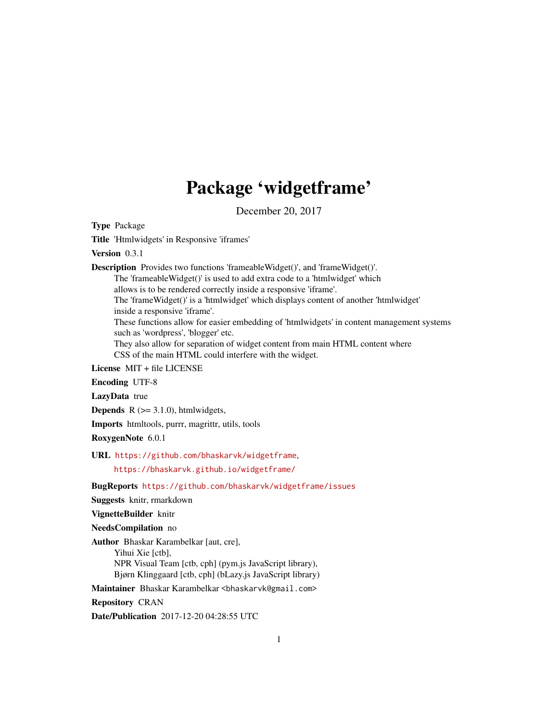## Package 'widgetframe'

December 20, 2017

<span id="page-0-0"></span>Type Package

Title 'Htmlwidgets' in Responsive 'iframes'

Version 0.3.1

Description Provides two functions 'frameableWidget()', and 'frameWidget()'.

The 'frameableWidget()' is used to add extra code to a 'htmlwidget' which

allows is to be rendered correctly inside a responsive 'iframe'.

The 'frameWidget()' is a 'htmlwidget' which displays content of another 'htmlwidget' inside a responsive 'iframe'.

These functions allow for easier embedding of 'htmlwidgets' in content management systems such as 'wordpress', 'blogger' etc.

They also allow for separation of widget content from main HTML content where CSS of the main HTML could interfere with the widget.

License MIT + file LICENSE

Encoding UTF-8

LazyData true

**Depends**  $R$  ( $>= 3.1.0$ ), htmlwidgets,

Imports htmltools, purrr, magrittr, utils, tools

RoxygenNote 6.0.1

URL <https://github.com/bhaskarvk/widgetframe>,

<https://bhaskarvk.github.io/widgetframe/>

BugReports <https://github.com/bhaskarvk/widgetframe/issues>

Suggests knitr, rmarkdown

VignetteBuilder knitr

NeedsCompilation no

Author Bhaskar Karambelkar [aut, cre], Yihui Xie [ctb], NPR Visual Team [ctb, cph] (pym.js JavaScript library), Bjørn Klinggaard [ctb, cph] (bLazy.js JavaScript library)

Maintainer Bhaskar Karambelkar <br/>bhaskarvk@gmail.com>

Repository CRAN

Date/Publication 2017-12-20 04:28:55 UTC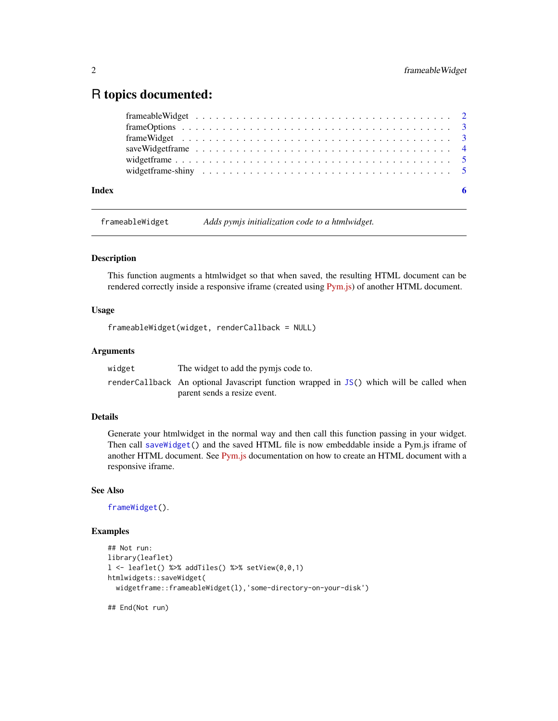### <span id="page-1-0"></span>R topics documented:

|       | $frameOptions \dots \dots \dots \dots \dots \dots \dots \dots \dots \dots \dots \dots \dots \dots \dots \dots \dots \dots$ |  |
|-------|----------------------------------------------------------------------------------------------------------------------------|--|
|       |                                                                                                                            |  |
|       |                                                                                                                            |  |
|       |                                                                                                                            |  |
|       |                                                                                                                            |  |
| Index |                                                                                                                            |  |

<span id="page-1-1"></span>frameableWidget *Adds pymjs initialization code to a htmlwidget.*

#### Description

This function augments a htmlwidget so that when saved, the resulting HTML document can be rendered correctly inside a responsive iframe (created using [Pym.js\)](http://blog.apps.npr.org/pym.js/) of another HTML document.

#### Usage

```
frameableWidget(widget, renderCallback = NULL)
```
#### Arguments

| widget | The widget to add the pymis code to.                                                     |
|--------|------------------------------------------------------------------------------------------|
|        | renderCallback An optional Javascript function wrapped in JS() which will be called when |
|        | parent sends a resize event.                                                             |

#### Details

Generate your htmlwidget in the normal way and then call this function passing in your widget. Then call [saveWidget\(](#page-0-0)) and the saved HTML file is now embeddable inside a Pym.js iframe of another HTML document. See [Pym.js](http://blog.apps.npr.org/pym.js/) documentation on how to create an HTML document with a responsive iframe.

#### See Also

```
frameWidget().
```
#### Examples

```
## Not run:
library(leaflet)
l \le leaflet() %>% addTiles() %>% setView(0,0,1)
htmlwidgets::saveWidget(
  widgetframe::frameableWidget(l),'some-directory-on-your-disk')
```
## End(Not run)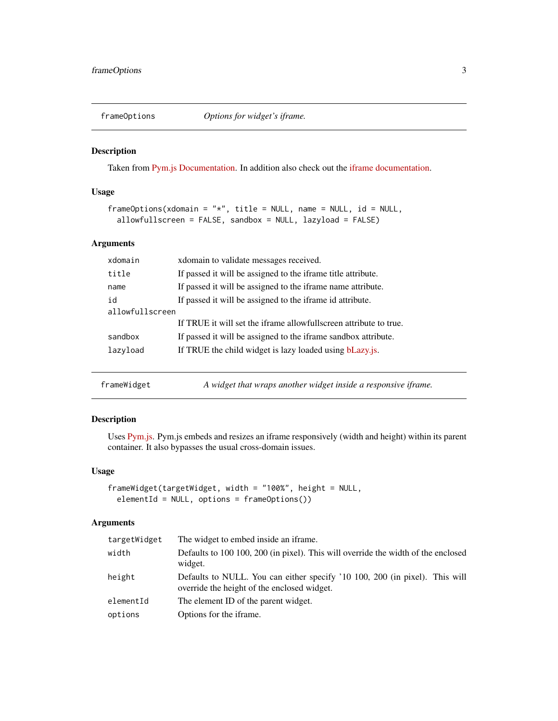<span id="page-2-2"></span><span id="page-2-0"></span>

#### Description

Taken from [Pym.js Documentation.](http://blog.apps.npr.org/pym.js/api/pym.js/1.3.1/module-pym.Parent.html) In addition also check out the [iframe documentation.](https://developer.mozilla.org/en-US/docs/Web/HTML/Element/iframe)

#### Usage

```
frameOptions(xdomain = "*", title = NULL, name = NULL, id = NULL,
 allowfullscreen = FALSE, sandbox = NULL, lazyload = FALSE)
```
#### Arguments

| xdomain         | xdomain to validate messages received.                            |  |
|-----------------|-------------------------------------------------------------------|--|
| title           | If passed it will be assigned to the iframe title attribute.      |  |
| name            | If passed it will be assigned to the iframe name attribute.       |  |
| id              | If passed it will be assigned to the iframe id attribute.         |  |
| allowfullscreen |                                                                   |  |
|                 | If TRUE it will set the iframe allowfullscreen attribute to true. |  |
| sandbox         | If passed it will be assigned to the iframe sandbox attribute.    |  |
| lazyload        | If TRUE the child widget is lazy loaded using bLazy.js.           |  |
|                 |                                                                   |  |

<span id="page-2-1"></span>frameWidget *A widget that wraps another widget inside a responsive iframe.*

#### Description

Uses [Pym.js.](http://blog.apps.npr.org/pym.js/) Pym.js embeds and resizes an iframe responsively (width and height) within its parent container. It also bypasses the usual cross-domain issues.

#### Usage

```
frameWidget(targetWidget, width = "100%", height = NULL,
 elementId = NULL, options = frameOptions())
```
#### Arguments

| targetWidget | The widget to embed inside an iframe.                                                                                      |
|--------------|----------------------------------------------------------------------------------------------------------------------------|
| width        | Defaults to 100 100, 200 (in pixel). This will override the width of the enclosed<br>widget.                               |
| height       | Defaults to NULL. You can either specify '10 100, 200 (in pixel). This will<br>override the height of the enclosed widget. |
| elementId    | The element ID of the parent widget.                                                                                       |
| options      | Options for the iframe.                                                                                                    |
|              |                                                                                                                            |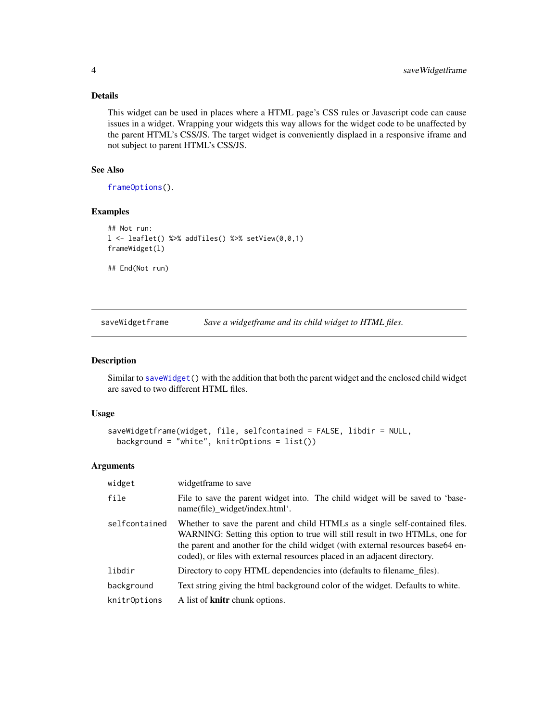#### Details

This widget can be used in places where a HTML page's CSS rules or Javascript code can cause issues in a widget. Wrapping your widgets this way allows for the widget code to be unaffected by the parent HTML's CSS/JS. The target widget is conveniently displaed in a responsive iframe and not subject to parent HTML's CSS/JS.

#### See Also

[frameOptions\(](#page-2-2)).

#### Examples

```
## Not run:
l <- leaflet() %>% addTiles() %>% setView(0,0,1)
frameWidget(l)
```
## End(Not run)

saveWidgetframe *Save a widgetframe and its child widget to HTML files.*

#### Description

Similar to [saveWidget\(](#page-0-0)) with the addition that both the parent widget and the enclosed child widget are saved to two different HTML files.

#### Usage

```
saveWidgetframe(widget, file, selfcontained = FALSE, libdir = NULL,
 background = "white", knitrOptions = list())
```
#### Arguments

| widget        | widgetframe to save                                                                                                                                                                                                                                                                                                           |
|---------------|-------------------------------------------------------------------------------------------------------------------------------------------------------------------------------------------------------------------------------------------------------------------------------------------------------------------------------|
| file          | File to save the parent widget into. The child widget will be saved to 'base-<br>name(file)_widget/index.html'.                                                                                                                                                                                                               |
| selfcontained | Whether to save the parent and child HTMLs as a single self-contained files.<br>WARNING: Setting this option to true will still result in two HTMLs, one for<br>the parent and another for the child widget (with external resources base 64 en-<br>coded), or files with external resources placed in an adjacent directory. |
| libdir        | Directory to copy HTML dependencies into (defaults to filename_files).                                                                                                                                                                                                                                                        |
| background    | Text string giving the html background color of the widget. Defaults to white.                                                                                                                                                                                                                                                |
| knitrOptions  | A list of <b>knitr</b> chunk options.                                                                                                                                                                                                                                                                                         |

<span id="page-3-0"></span>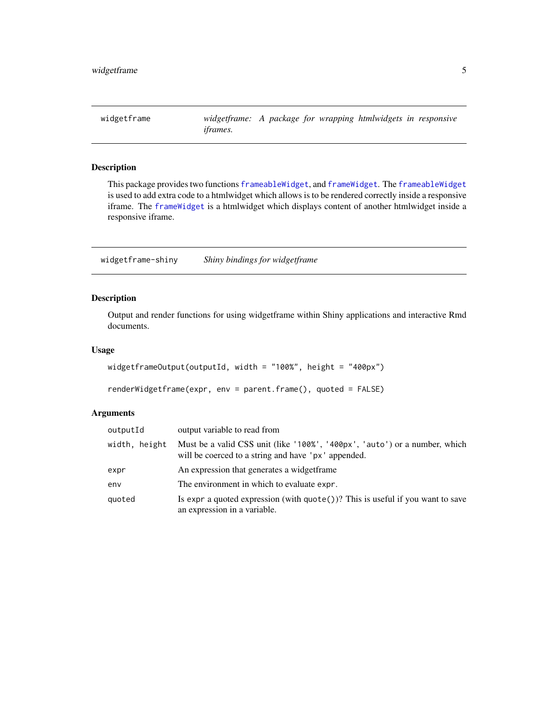<span id="page-4-0"></span>

#### Description

This package provides two functions [frameableWidget](#page-1-1), and [frameWidget](#page-2-1). The [frameableWidget](#page-1-1) is used to add extra code to a htmlwidget which allows is to be rendered correctly inside a responsive iframe. The [frameWidget](#page-2-1) is a htmlwidget which displays content of another htmlwidget inside a responsive iframe.

widgetframe-shiny *Shiny bindings for widgetframe*

#### Description

Output and render functions for using widgetframe within Shiny applications and interactive Rmd documents.

#### Usage

```
widgetframeOutput(outputId, width = "100%", height = "400px")
```

```
renderWidgetframe(expr, env = parent.frame(), quoted = FALSE)
```
#### Arguments

| outputId      | output variable to read from                                                                                                      |
|---------------|-----------------------------------------------------------------------------------------------------------------------------------|
| width, height | Must be a valid CSS unit (like '100%', '400px', 'auto') or a number, which<br>will be coerced to a string and have 'px' appended. |
| expr          | An expression that generates a widgetframe.                                                                                       |
| env           | The environment in which to evaluate expr.                                                                                        |
| quoted        | Is expr a quoted expression (with $\text{quote}()$ )? This is useful if you want to save<br>an expression in a variable.          |